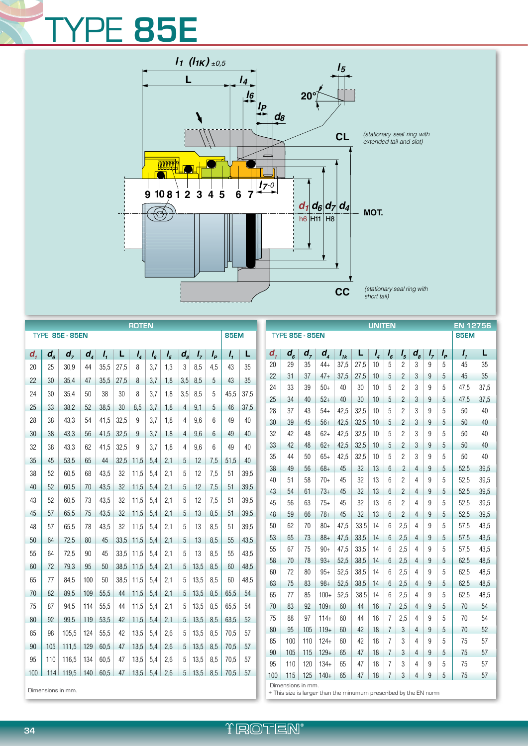## TYPE **85E**



| <b>ROTEN</b>           |                |           |                            |                 |      |            |         |              |                      |               |       |                        | <b>UNITEN</b> |                            |                |                          |                            |              |              |             | <b>EN 12756</b> |                     |                |         |        |              |              |
|------------------------|----------------|-----------|----------------------------|-----------------|------|------------|---------|--------------|----------------------|---------------|-------|------------------------|---------------|----------------------------|----------------|--------------------------|----------------------------|--------------|--------------|-------------|-----------------|---------------------|----------------|---------|--------|--------------|--------------|
| <b>TYPE 85E - 85EN</b> |                |           |                            |                 |      |            |         |              |                      | <b>85EM</b>   |       | <b>TYPE 85E - 85EN</b> |               |                            |                |                          |                            |              |              | <b>85EM</b> |                 |                     |                |         |        |              |              |
| $d_{\star}$            | $d_{\epsilon}$ | $d_{7}$   | $d_{\scriptscriptstyle A}$ | Ι,              | L    | $I_{4}$    | $I_{6}$ | $I_{\kappa}$ | $\boldsymbol{d}_{s}$ | $I_{7}$       | $I_p$ | Ι,                     | L             | $d_{\scriptscriptstyle 1}$ | $d_{\epsilon}$ | $d_{7}$                  | $d_{\scriptscriptstyle A}$ | $I_{ik}$     | L            | $I_{4}$     | $I_{6}$         | I <sub>5</sub>      | $d_{s}$        | $I_{7}$ | $I_p$  | Ι,           | L            |
| 20                     | 25             | 30,9      | 44                         | 35,5            | 27,5 | 8          | 3.7     | 1.3          | 3                    | 8.5           | 4.5   | 43                     | 35            | 20                         | 29             | 35                       | $44+$                      | 37,5         | 27,5         | 10          | 5               | 2                   | 3              | 9       | 5      | 45           | 35           |
| 22                     | 30             | 35.4      | 47                         | 35,5            | 27,5 | 8          | 3,7     | 1,8          | 3.5                  | 8,5           | 5     | 43                     | 35            | 22                         | 31             | 37                       | $47+$                      | 37,5         | 27,5         | 10          | 5               | 2                   | 3              | 9       | 5      | 45           | 35           |
| 24                     | 30             | 35,4      | 50                         | 38              | 30   | 8          | 3,7     | 1,8          | 3.5 <sub>1</sub>     | 8,5           | 5     | 45,5                   | 37,5          | 24                         | 33             | 39                       | $50+$                      | 40           | 30           | 10          | 5               | 2                   | 3              | 9       | 5      | 47,5         | 37,5         |
| 25                     | 33             | 38,2      | 52                         | 38,5            | 30   | 8,5        | 3,7     | 1,8          | $\overline{4}$       | 9,1           | 5     | 46                     | 37,5          | 25                         | 34             | 40                       | $52+$                      | 40           | 30           | 10          | 5               | $\overline{c}$      | 3              | 9       | 5      | 47,5         | 37,5         |
| 28                     | 38             | 43,3      | 54                         | 41,5            | 32,5 | 9          | 3,7     | 1,8          | 4                    | 9,6           | 6     | 49                     | 40            | 28<br>30                   | 37<br>39       | 43<br>45                 | $54+$<br>$56+$             | 42,5<br>42,5 | 32,5<br>32,5 | 10          | 5               | 2                   | 3              | 9       | 5<br>5 | 50<br>50     | 40<br>40     |
| 30                     | 38             | 43,3      | 56                         | 41,5            | 32,5 | 9          | 3,7     | 1,8          | $\overline{4}$       | 9,6           | 6     | 49                     | 40            | 32                         | 42             | 48                       | $62+$                      | 42,5         | 32,5         | 10<br>10    | 5<br>5          | $\overline{2}$<br>2 | 3<br>3         | 9<br>9  | 5      | 50           | 40           |
| 32                     |                |           |                            |                 |      |            |         |              |                      |               |       |                        |               | 33                         | 42             | 48                       | $62+$                      | 42,5         | 32,5         | 10          | 5               | $\overline{c}$      | 3              | 9       | 5      | 50           | 40           |
|                        | 38             | 43,3      | 62                         | 41,5            | 32,5 | 9          | 3,7     | 1,8          | 4                    | 9,6           | 6     | 49                     | 40            | 35                         | 44             | 50                       | $65+$                      | 42,5         | 32,5         | 10          | 5               | $\overline{2}$      | 3              | 9       | 5      | 50           | 40           |
| 35                     | 45             | 53,5      | 65                         | 44              | 32.5 | 11,5       | 5,4     | 2,1          | 5                    | 12            | 7,5   | 51,5                   | 40            | 38                         | 49             | 56                       | $68+$                      | 45           | 32           | 13          | 6               | $\overline{c}$      | 4              | 9       | 5      | 52,5         | 39,5         |
| 38                     | 52             | 60,5      | 68                         | 43,5            | 32   | 11,5       | 5,4     | 2,1          | 5                    | 12            | 7.5   | 51                     | 39,5          | 40                         | 51             | 58                       | 70+                        | 45           | 32           | 13          | 6               | 2                   | 4              | 9       | 5      | 52,5         | 39,5         |
| 40                     | 52             | 60.5      | 70                         | 43,5            | 32   | 11,5       | 5,4     | 2.1          | $5\overline{)}$      | 12            | 7,5   | 51                     | 39,5          | 43                         | 54             | 61                       | $73+$                      | 45           | 32           | 13          | 6               | $\overline{c}$      | 4              | 9       | 5      | 52,5         | 39,5         |
| 43                     | 52             | 60,5      | 73                         | 43,5            | 32   | 11,5       | 5,4     | 2,1          | 5                    | 12            | 7,5   | 51                     | 39,5          | 45                         | 56             | 63                       | $75+$                      | 45           | 32           | 13          | 6               | 2                   | 4              | 9       | 5      | 52,5         | 39,5         |
| 45                     | 57             | 65,5      | 75                         | 43,5            | 32   | 11,5       | 5,4     | 2,1          | 5                    | 13            | 8,5   | 51                     | 39,5          | 48                         | 59             | 66                       | $78+$                      | 45           | 32           | 13          | 6               | $\overline{c}$      | 4              | 9       | 5      | 52,5         | 39,5         |
| 48                     | 57             | 65,5      | 78                         | 43,5            | 32   | 11,5       | 5.4     | 2,1          | 5                    | 13            | 8.5   | 51                     | 39,5          | 50                         | 62             | 70                       | $80+$                      | 47.5         | 33,5         | 14          | 6               | 2,5                 | 4              | 9       | 5      | 57,5         | 43,5         |
| 50                     | 64             | 72,5      | 80                         | 45              | 33,5 | 11,5       | 5,4     | 2,1          | 5                    | 13            | 8,5   | 55                     | 43,5          | 53                         | 65             | 73                       | $88+$                      | 47,5         | 33,5         | 14          | 6               | 2,5                 | 4              | 9       | 5      | 57,5         | 43,5         |
| 55                     | 64             | 72,5      | 90                         | 45              | 33.5 | 11.5       | 5,4     | 2.1          | 5                    | 13            | 8.5   | 55                     | 43,5          | 55                         | 67             | 75                       | $90+$                      | 47,5         | 33,5         | 14          | 6               | 2,5                 | $\overline{4}$ | 9       | 5      | 57,5         | 43,5         |
| 60                     | 72             | 79.3      | 95                         | 50              | 38,5 | 11,5       | 5,4     | 2,1          |                      | $5 \mid 13.5$ | 8,5   | 60                     | 48,5          | 58                         | 70             | 78                       | $93+$                      | 52,5         | 38,5         | 14          | 6               | 2,5                 | 4              | 9       | 5      | 62,5         | 48,5         |
| 65                     | 77             | 84,5      | 100                        | 50              | 38.5 | 11,5       | 5.4     | 2,1          | 5                    | 13,5          | 8,5   | 60                     | 48,5          | 60<br>63                   | 72<br>75       | 80<br>83                 | $95+$<br>$98+$             | 52,5<br>52,5 | 38,5<br>38,5 | 14<br>14    | 6<br>6          | 2,5<br>2,5          | 4              | 9<br>9  | 5<br>5 | 62,5<br>62,5 | 48,5<br>48,5 |
| 70                     | 82             | 89.5      | 109                        | 55,5            | 44   | 11,5       | 5,4     | 2,1          |                      | $5 \mid 13.5$ | 8,5   | 65.5                   | 54            | 65                         | 77             | 85                       | $100+$                     | 52,5         | 38,5         | 14          | 6               | 2,5                 | 4<br>4         | 9       | 5      | 62,5         | 48,5         |
| 75                     | 87             | 94.5      | 114                        | 55.5            | 44   | 11,5       | 5,4     | 2.1          | 5                    | 13,5          | 8,5   | 65,5                   | 54            | 70                         | 83             | 92                       | $109+$                     | 60           | 44           | 16          | $\overline{7}$  | 2.5                 | 4              | 9       | 5      | 70           | 54           |
| 80                     | 92             | 99.5      | 119                        | 53,5            | 42   | 11,5       | 5.4     | 2,1          |                      | $5 \mid 13.5$ | 8,5   | 63.5                   | 52            | 75                         | 88             | 97                       | $114+$                     | 60           | 44           | 16          | $\overline{7}$  | 2,5                 | 4              | 9       | 5      | 70           | 54           |
| 85                     | 98             | 105.5     | 124                        | 55.5            | 42   | 13.5       | 5.4     | 2.6          | 5                    | 13,5          | 8.5   | 70.5                   | 57            | 80                         | 95             | 105                      | $119+$                     | 60           | 42           | 18          | 7               | 3                   | 4              | 9       | 5      | 70           | 52           |
| 90                     |                |           |                            |                 |      |            |         |              |                      | $5 \mid 13.5$ |       |                        |               | 85                         | 100            | 110                      | $124+$                     | 60           | 42           | 18          | $\overline{7}$  | 3                   | 4              | 9       | 5      | 75           | 57           |
|                        | 105            | 111.5     | 129                        | 60.5            | 47   | 13,5       | 5,4     | 2,6          |                      |               | 8,5   | 70,5                   | 57            | 90                         | 105            | 115                      | $129+$                     | 65           | 47           | 18          | $\overline{7}$  | 3                   | 4              | 9       | 5      | 75           | 57           |
| 95                     | 110            | 116.5     | 134                        | 60.5            | 47   | 13.5       | 5,4     | 2.6          | 5                    | 13,5          | 8,5   | 70,5                   | 57            | 95                         | 110            | 120                      | $134+$                     | 65           | 47           | 18          | $\overline{7}$  | 3                   | 4              | 9       | 5      | 75           | 57           |
| $100 -$                |                | 114 119.5 |                            | $140 \mid 60.5$ | 47   | $13.5$ 5.4 |         | 2.6          |                      | $5 \mid 13.5$ | 8.5   | 70.5                   | -57           | 100                        | 115            | 125<br>Dimensions in mm. | $140+$                     | 65           | 47           | 18          | 7               | 3                   | 4              | 9       | 5      | 75           | 57           |



+ This size is larger than the minumum prescribed by the EN norm